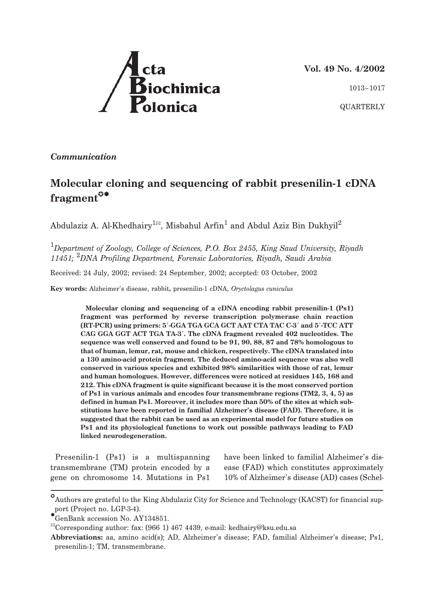

**Vol. 49 No. 4/2002**

1013–1017

QUARTERLY

## *Communication*

# **Molecular cloning and sequencing of rabbit presenilin-1 cDNA fragment-**

Abdulaziz A. Al-Khedhairy<sup>1 $\text{M}$ </sup>, Misbahul Arfin<sup>1</sup> and Abdul Aziz Bin Dukhyil<sup>2</sup>

1 *Department of Zoology, College of Sciences, P.O. Box 2455, King Saud University, Riyadh 11451;* <sup>2</sup> *DNA Profiling Department, Forensic Laboratories, Riyadh, Saudi Arabia*

Received: 24 July, 2002; revised: 24 September, 2002; accepted: 03 October, 2002

**Key words:** Alzheimer's disease, rabbit**,** presenilin-1 cDNA, *Oryctolagus cuniculus*

**Molecular cloning and sequencing of a cDNA encoding rabbit presenilin-1 (Ps1) fragment was performed by reverse transcription polymerase chain reaction (RT-PCR) using primers: 5-GGA TGA GCA GCT AAT CTA TAC C-3 and 5-TCC ATT CAG GGA GGT ACT TGA TA-3. The cDNA fragment revealed 402 nucleotides. The sequence was well conserved and found to be 91, 90, 88, 87 and 78% homologous to that of human, lemur, rat, mouse and chicken, respectively. The cDNA translated into a 130 amino-acid protein fragment. The deduced amino-acid sequence was also well conserved in various species and exhibited 98% similarities with those of rat, lemur and human homologues. However, differences were noticed at residues 145, 168 and 212. This cDNA fragment is quite significant because it is the most conserved portion of Ps1 in various animals and encodes four transmembrane regions (TM2, 3, 4, 5) as defined in human Ps1. Moreover, it includes more than 50% of the sites at which substitutions have been reported in familial Alzheimer's disease (FAD). Therefore, it is suggested that the rabbit can be used as an experimental model for future studies on Ps1 and its physiological functions to work out possible pathways leading to FAD linked neurodegeneration.**

Presenilin-1 (Ps1) is a multispanning transmembrane (TM) protein encoded by a gene on chromosome 14. Mutations in Ps1

have been linked to familial Alzheimer's disease (FAD) which constitutes approximately 10% of Alzheimer's disease (AD) cases (Schel-

Authors are grateful to the King Abdulaziz City for Science and Technology (KACST) for financial support (Project no. LGP-3-4).

GenBank accession No. AY134851.

<sup>&</sup>lt;sup> $\alpha$ </sup>Corresponding author: fax: (966 1) 467 4439, e-mail: kedhairy@ksu.edu.sa

**Abbreviations:** aa, amino acid(s); AD, Alzheimer's disease; FAD, familial Alzheimer's disease; Ps1, presenilin-1; TM, transmembrane.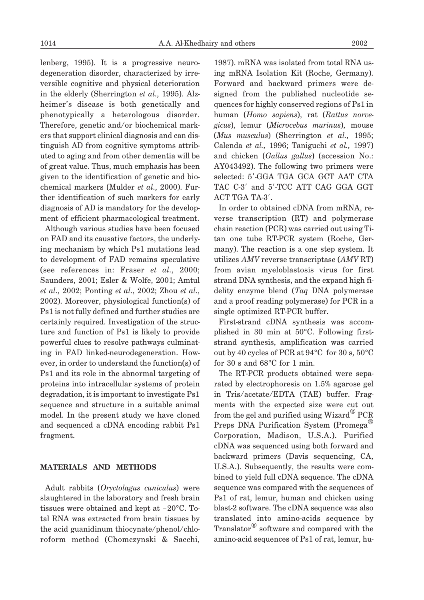lenberg, 1995). It is a progressive neurodegeneration disorder, characterized by irreversible cognitive and physical deterioration in the elderly (Sherrington *et al*., 1995). Alzheimer's disease is both genetically and phenotypically a heterologous disorder. Therefore, genetic and/or biochemical markers that support clinical diagnosis and can distinguish AD from cognitive symptoms attributed to aging and from other dementia will be of great value. Thus, much emphasis has been given to the identification of genetic and biochemical markers (Mulder *et al*., 2000). Further identification of such markers for early diagnosis of AD is mandatory for the development of efficient pharmacological treatment.

Although various studies have been focused on FAD and its causative factors, the underlying mechanism by which Ps1 mutations lead to development of FAD remains speculative (see references in: Fraser *et al*., 2000; Saunders, 2001; Esler & Wolfe, 2001; Amtul *et al*., 2002; Ponting *et al*., 2002; Zhou *et al*., 2002). Moreover, physiological function(s) of Ps1 is not fully defined and further studies are certainly required. Investigation of the structure and function of Ps1 is likely to provide powerful clues to resolve pathways culminating in FAD linked-neurodegeneration. However, in order to understand the function(s) of Ps1 and its role in the abnormal targeting of proteins into intracellular systems of protein degradation, it is important to investigate Ps1 sequence and structure in a suitable animal model. In the present study we have cloned and sequenced a cDNA encoding rabbit Ps1 fragment.

#### **MATERIALS AND METHODS**

Adult rabbits (*Oryctolagus cuniculus*) were slaughtered in the laboratory and fresh brain tissues were obtained and kept at –20°C. Total RNA was extracted from brain tissues by the acid guanidinum thiocynate/phenol/chloroform method (Chomczynski & Sacchi,

1987). mRNA was isolated from total RNA using mRNA Isolation Kit (Roche, Germany). Forward and backward primers were designed from the published nucleotide sequences for highly conserved regions of Ps1 in human (*Homo sapiens*), rat (*Rattus norvegicus*), lemur (*Microcebus murinus*), mouse (*Mus musculus*) (Sherrington *et al.,* 1995; Calenda *et al.,* 1996; Taniguchi *et al.,* 1997) and chicken (*Gallus gallus*) (accession No.: AY043492). The following two primers were selected: 5'-GGA TGA GCA GCT AAT CTA TAC C-3' and 5'-TCC ATT CAG GGA GGT ACT TGA TA-3'.

In order to obtained cDNA from mRNA, reverse transcription (RT) and polymerase chain reaction (PCR) was carried out using Titan one tube RT-PCR system (Roche, Germany). The reaction is a one step system. It utilizes *AMV* reverse transcriptase (*AMV* RT) from avian myeloblastosis virus for first strand DNA synthesis, and the expand high fidelity enzyme blend (*Taq* DNA polymerase and a proof reading polymerase) for PCR in a single optimized RT-PCR buffer.

First-strand cDNA synthesis was accomplished in 30 min at 50°C. Following firststrand synthesis, amplification was carried out by 40 cycles of PCR at 94°C for 30 s, 50°C for 30 s and 68°C for 1 min.

The RT-PCR products obtained were separated by electrophoresis on 1.5% agarose gel in Tris/acetate/EDTA (TAE) buffer. Fragments with the expected size were cut out from the gel and purified using Wizard® PCR Preps DNA Purification System (Promega<sup>®</sup>) Corporation, Madison, U.S.A.). Purified cDNA was sequenced using both forward and backward primers (Davis sequencing, CA, U.S.A.). Subsequently, the results were combined to yield full cDNA sequence. The cDNA sequence was compared with the sequences of Ps1 of rat, lemur, human and chicken using blast-2 software. The cDNA sequence was also translated into amino-acids sequence by Translator® software and compared with the amino-acid sequences of Ps1 of rat, lemur, hu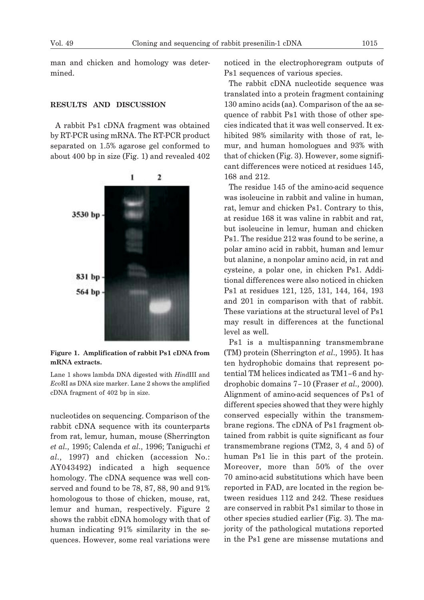man and chicken and homology was determined.

#### **RESULTS AND DISCUSSION**

A rabbit Ps1 cDNA fragment was obtained by RT-PCR using mRNA. The RT-PCR product separated on 1.5% agarose gel conformed to about 400 bp in size (Fig. 1) and revealed 402



**Figure 1. Amplification of rabbit Ps1 cDNA from mRNA extracts.**

Lane 1 shows lambda DNA digested with *Hin*dIII and *Eco*RI as DNA size marker. Lane 2 shows the amplified cDNA fragment of 402 bp in size.

nucleotides on sequencing. Comparison of the rabbit cDNA sequence with its counterparts from rat, lemur*,* human, mouse (Sherrington *et al*., 1995; Calenda *et al*., 1996; Taniguchi *et al*., 1997) and chicken (accession No.: AY043492) indicated a high sequence homology. The cDNA sequence was well conserved and found to be 78, 87, 88, 90 and 91% homologous to those of chicken, mouse, rat, lemur and human, respectively. Figure 2 shows the rabbit cDNA homology with that of human indicating 91% similarity in the sequences. However, some real variations were noticed in the electrophoregram outputs of Ps1 sequences of various species.

The rabbit cDNA nucleotide sequence was translated into a protein fragment containing 130 amino acids (aa). Comparison of the aa sequence of rabbit Ps1 with those of other species indicated that it was well conserved. It exhibited 98% similarity with those of rat, lemur, and human homologues and 93% with that of chicken (Fig. 3). However, some significant differences were noticed at residues 145, 168 and 212.

The residue 145 of the amino-acid sequence was isoleucine in rabbit and valine in human, rat, lemur and chicken Ps1. Contrary to this, at residue 168 it was valine in rabbit and rat, but isoleucine in lemur, human and chicken Ps1. The residue 212 was found to be serine, a polar amino acid in rabbit, human and lemur but alanine, a nonpolar amino acid, in rat and cysteine, a polar one, in chicken Ps1. Additional differences were also noticed in chicken Ps1 at residues 121, 125, 131, 144, 164, 193 and 201 in comparison with that of rabbit. These variations at the structural level of Ps1 may result in differences at the functional level as well.

Ps1 is a multispanning transmembrane (TM) protein (Sherrington *et al*., 1995). It has ten hydrophobic domains that represent potential TM helices indicated as TM1–6 and hydrophobic domains 7–10 (Fraser *et al*., 2000). Alignment of amino-acid sequences of Ps1 of different species showed that they were highly conserved especially within the transmembrane regions. The cDNA of Ps1 fragment obtained from rabbit is quite significant as four transmembrane regions (TM2, 3, 4 and 5) of human Ps1 lie in this part of the protein. Moreover, more than 50% of the over 70 amino-acid substitutions which have been reported in FAD, are located in the region between residues 112 and 242. These residues are conserved in rabbit Ps1 similar to those in other species studied earlier (Fig. 3). The majority of the pathological mutations reported in the Ps1 gene are missense mutations and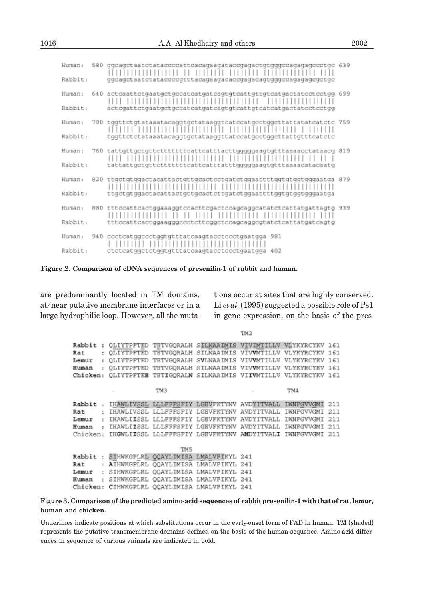|--|

| Human:<br>Rabbit: | 580 ggcagctaatctataccccattcacagaagataccgagactgtgggccagagagccctgc 639<br>.<br>ggcagctaatctataccccgtttacagaagacaccgagacagtgggccagagagcgctgc |
|-------------------|-------------------------------------------------------------------------------------------------------------------------------------------|
| Human:            | 640 actcaattctgaatgctgccatcatgatcagtgtcattgttgtcatgactatcctcctgg 699                                                                      |
| Rabbit:<br>Human: | actcgattctgaatgctgccatcatgatcagtgtcattgtcatcatgactatcctcctgg<br>700 tggttctgtataaatacaggtgctataaggtcatccatgcctggcttattatatcatctc 759      |
| Rabbit:           | tggttctctataaatacaggtgctataaggttatccatgcctggcttattgtttcatctc                                                                              |
| Human:            | 760 tattgttgctgttctttttttcattcatttacttgggggaagtgtttaaaacctataacg 819                                                                      |
| Rabbit:           | tattattgctgttctttttttcattcatttatttgggggaagtgtttaaaacatacaatg                                                                              |
| Human:            | 820 ttgctgtggactacattactgttgcactcctgatctggaattttggtgtgggggaatga 879                                                                       |
| Rabbit:           | ttgctgtggactacattactgttgcactcttgatctggaattttggtgtgtgggaatga                                                                               |
| Human:            | 880 tttccattcactggaaaggtccacttcgactccagcaggcatatctcattatgattagtg 939                                                                      |
| Rabbit:           | tttccattcactggaagggccctcttcggctccagcaggcgtatctcattatgatcagtg                                                                              |
| Human:            | 940 coctoatggcoctggtgtttatcaagtacctccctgaatgga<br>981                                                                                     |
| Rabbit:           | ctctcatggctctggtgtttatcaagtacctccctgaatgga 402                                                                                            |

**Figure 2. Comparison of cDNA sequences of presenilin-1 of rabbit and human.**

are predominantly located in TM domains, at/near putative membrane interfaces or in a large hydrophilic loop. However, all the mutations occur at sites that are highly conserved. Li*et al*. (1995) suggested a possible role of Ps1 in gene expression, on the basis of the pres-

|         |  |                                                                 | TM <sub>2</sub> |                                                                                                                                     |     |
|---------|--|-----------------------------------------------------------------|-----------------|-------------------------------------------------------------------------------------------------------------------------------------|-----|
| Rat     |  |                                                                 |                 | Rabbit : OLIYTPFTED TETVGORALH SILNAAIMIS VIVIMTILLV VLYKYRCYKV 161<br>: QLIYTPFTED TETVGQRALH SILNAAIMIS VIVWNTILLV VLYKYRCYKV 161 |     |
| Lemur   |  |                                                                 |                 | : OLIYTPFTED TETVGORALH SVLNAAIMIS VIVVMTILLV VLYKYRCYKV 161                                                                        |     |
| Human : |  |                                                                 |                 | OLIYTPFTED TETVGORALH SILNAAIMIS VIVVMTILLV VLYKYRCYKV 161<br>Chicken: OLIYTPFTEE TETIGORALN SILNAAIMIS VIIVMTILLV VLYKYRCYKV 161   |     |
|         |  | EMT                                                             |                 | TM4                                                                                                                                 |     |
|         |  | Rabbit : IHAWLIVSSL LLLFFFSFIY LGEVFKTYNV AVDYITVALL IWNFGVVGMI |                 |                                                                                                                                     | 211 |
| Rat     |  | : IHAWLIVSSL LLLFFFSFIY LGEVFKTYNV AVDYITVALL IWNFGVVGMI        |                 |                                                                                                                                     | 211 |
| Lemur   |  | : IHAWLIISSL LLLFFFSFIY LGEVFKTYNV AVDYITVALL IWNFGVVGMI        |                 |                                                                                                                                     | 211 |
| Human   |  |                                                                 |                 | : IHAWLIISSL LLLFFFSFIY LGEVFKTYNV AVDYITVALL IWNFGVVGMI                                                                            | 211 |
|         |  |                                                                 |                 | Chicken: IHGWLIISSL LLLFFFSFIY LGEVFKTYNV AMDYITVALI IWNFGVVGMI                                                                     | 211 |
|         |  |                                                                 |                 |                                                                                                                                     |     |
|         |  | TM <sub>5</sub>                                                 |                 |                                                                                                                                     |     |
|         |  | Rabbit : SIHWKGPLRL QQAYLIMISA LMALVFIKYL 241                   |                 |                                                                                                                                     |     |
| Rat     |  | : AIHWKGPLRL QQAYLIMISA LMALVFIKYL 241                          |                 |                                                                                                                                     |     |
|         |  | Lemur : SIHWKGPLRL QQAYLIMISA LMALVFIKYL 241                    |                 |                                                                                                                                     |     |
| Human : |  | SIHWKGPLRL COAYLIMISA LMALVFIKYL 241                            |                 |                                                                                                                                     |     |
|         |  | Chicken: CIHWKGPLRL QQAYLIMISA LMALVFIKYL 241                   |                 |                                                                                                                                     |     |

#### **Figure 3. Comparison of the predicted amino-acid sequences of rabbit presenilin-1 with that of rat, lemur, human and chicken.**

Underlines indicate positions at which substitutions occur in the early-onset form of FAD in human. TM (shaded) represents the putative transmembrane domains defined on the basis of the human sequence. Amino-acid differences in sequence of various animals are indicated in bold.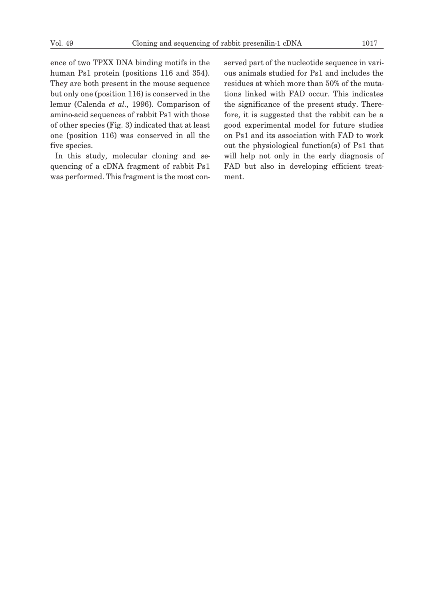ence of two TPXX DNA binding motifs in the human Ps1 protein (positions 116 and 354). They are both present in the mouse sequence but only one (position 116) is conserved in the lemur (Calenda *et al*., 1996). Comparison of amino-acid sequences of rabbit Ps1 with those of other species (Fig. 3) indicated that at least one (position 116) was conserved in all the five species.

In this study, molecular cloning and sequencing of a cDNA fragment of rabbit Ps1 was performed. This fragment is the most conserved part of the nucleotide sequence in various animals studied for Ps1 and includes the residues at which more than 50% of the mutations linked with FAD occur. This indicates the significance of the present study. Therefore, it is suggested that the rabbit can be a good experimental model for future studies on Ps1 and its association with FAD to work out the physiological function(s) of Ps1 that will help not only in the early diagnosis of FAD but also in developing efficient treatment.